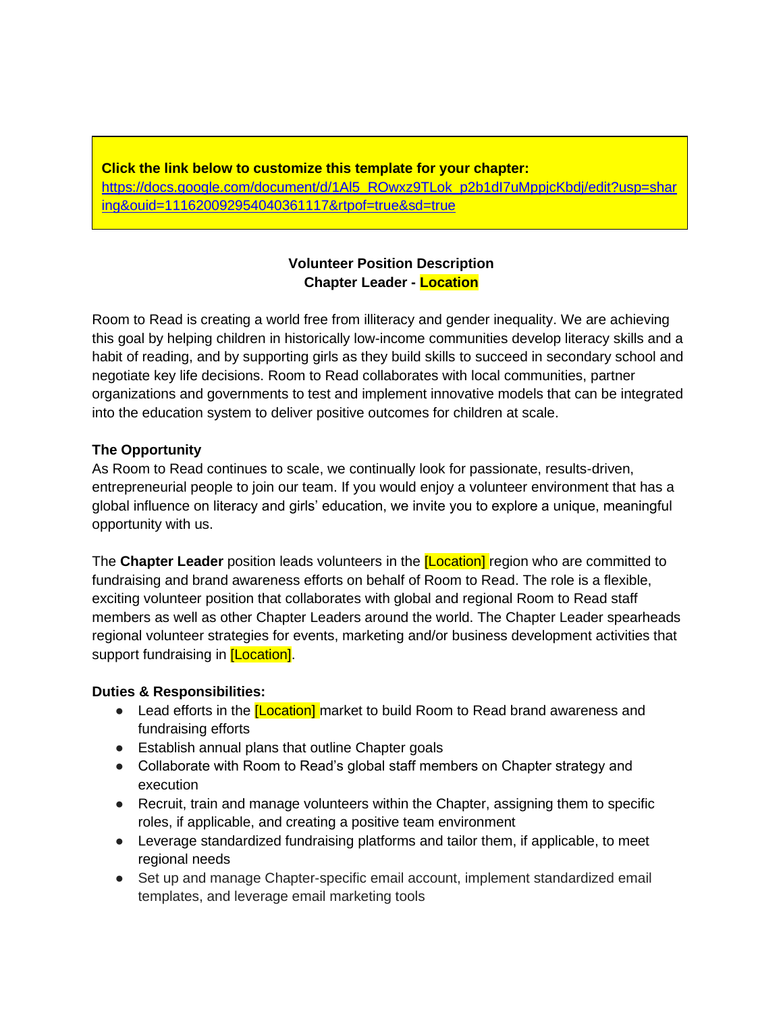**Click the link below to customize this template for your chapter:** [https://docs.google.com/document/d/1Al5\\_ROwxz9TLok\\_p2b1dI7uMppjcKbdj/edit?usp=shar](https://docs.google.com/document/d/1Al5_ROwxz9TLok_p2b1dI7uMppjcKbdj/edit?usp=sharing&ouid=111620092954040361117&rtpof=true&sd=true) [ing&ouid=111620092954040361117&rtpof=true&sd=true](https://docs.google.com/document/d/1Al5_ROwxz9TLok_p2b1dI7uMppjcKbdj/edit?usp=sharing&ouid=111620092954040361117&rtpof=true&sd=true)

# **Volunteer Position Description Chapter Leader - Location**

Room to Read is creating a world free from illiteracy and gender inequality. We are achieving this goal by helping children in historically low-income communities develop literacy skills and a habit of reading, and by supporting girls as they build skills to succeed in secondary school and negotiate key life decisions. Room to Read collaborates with local communities, partner organizations and governments to test and implement innovative models that can be integrated into the education system to deliver positive outcomes for children at scale.

## **The Opportunity**

As Room to Read continues to scale, we continually look for passionate, results-driven, entrepreneurial people to join our team. If you would enjoy a volunteer environment that has a global influence on literacy and girls' education, we invite you to explore a unique, meaningful opportunity with us.

The **Chapter Leader** position leads volunteers in the [Location] region who are committed to fundraising and brand awareness efforts on behalf of Room to Read. The role is a flexible, exciting volunteer position that collaborates with global and regional Room to Read staff members as well as other Chapter Leaders around the world. The Chapter Leader spearheads regional volunteer strategies for events, marketing and/or business development activities that support fundraising in [Location].

## **Duties & Responsibilities:**

- Lead efforts in the [Location] market to build Room to Read brand awareness and fundraising efforts
- Establish annual plans that outline Chapter goals
- Collaborate with Room to Read's global staff members on Chapter strategy and execution
- Recruit, train and manage volunteers within the Chapter, assigning them to specific roles, if applicable, and creating a positive team environment
- Leverage standardized fundraising platforms and tailor them, if applicable, to meet regional needs
- Set up and manage Chapter-specific email account, implement standardized email templates, and leverage email marketing tools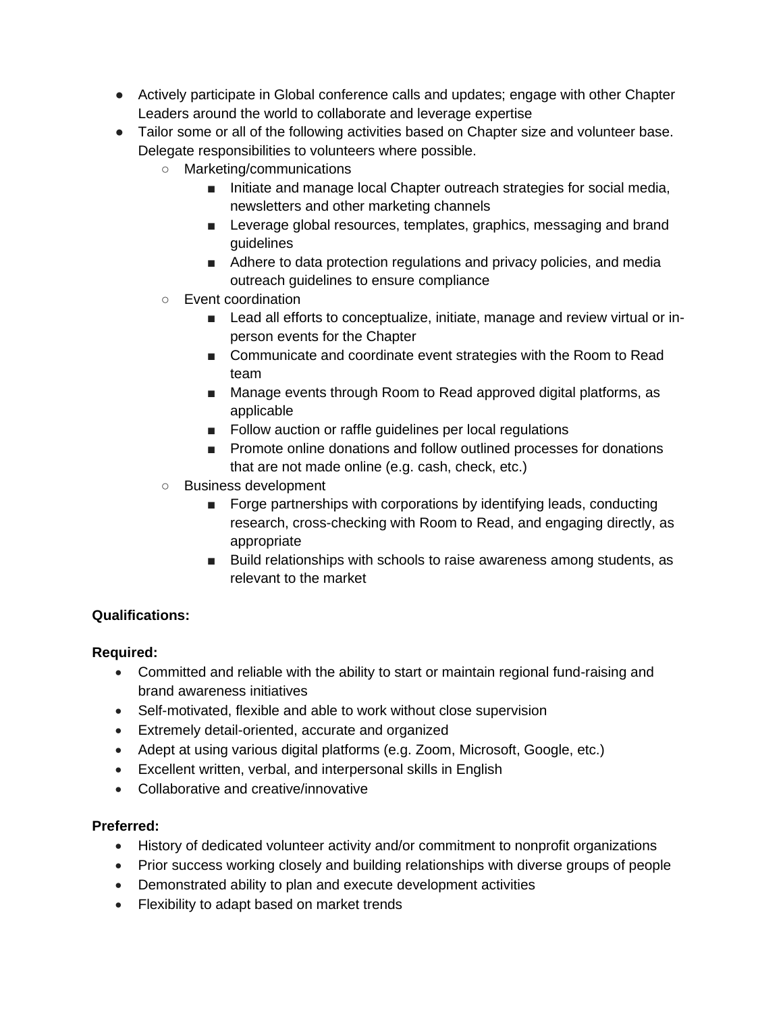- Actively participate in Global conference calls and updates; engage with other Chapter Leaders around the world to collaborate and leverage expertise
- Tailor some or all of the following activities based on Chapter size and volunteer base. Delegate responsibilities to volunteers where possible.
	- Marketing/communications
		- Initiate and manage local Chapter outreach strategies for social media, newsletters and other marketing channels
		- Leverage global resources, templates, graphics, messaging and brand guidelines
		- Adhere to data protection regulations and privacy policies, and media outreach guidelines to ensure compliance
	- Event coordination
		- Lead all efforts to conceptualize, initiate, manage and review virtual or inperson events for the Chapter
		- Communicate and coordinate event strategies with the Room to Read team
		- Manage events through Room to Read approved digital platforms, as applicable
		- Follow auction or raffle guidelines per local regulations
		- Promote online donations and follow outlined processes for donations that are not made online (e.g. cash, check, etc.)
	- Business development
		- Forge partnerships with corporations by identifying leads, conducting research, cross-checking with Room to Read, and engaging directly, as appropriate
		- Build relationships with schools to raise awareness among students, as relevant to the market

## **Qualifications:**

## **Required:**

- Committed and reliable with the ability to start or maintain regional fund-raising and brand awareness initiatives
- Self-motivated, flexible and able to work without close supervision
- Extremely detail-oriented, accurate and organized
- Adept at using various digital platforms (e.g. Zoom, Microsoft, Google, etc.)
- Excellent written, verbal, and interpersonal skills in English
- Collaborative and creative/innovative

## **Preferred:**

- History of dedicated volunteer activity and/or commitment to nonprofit organizations
- Prior success working closely and building relationships with diverse groups of people
- Demonstrated ability to plan and execute development activities
- Flexibility to adapt based on market trends